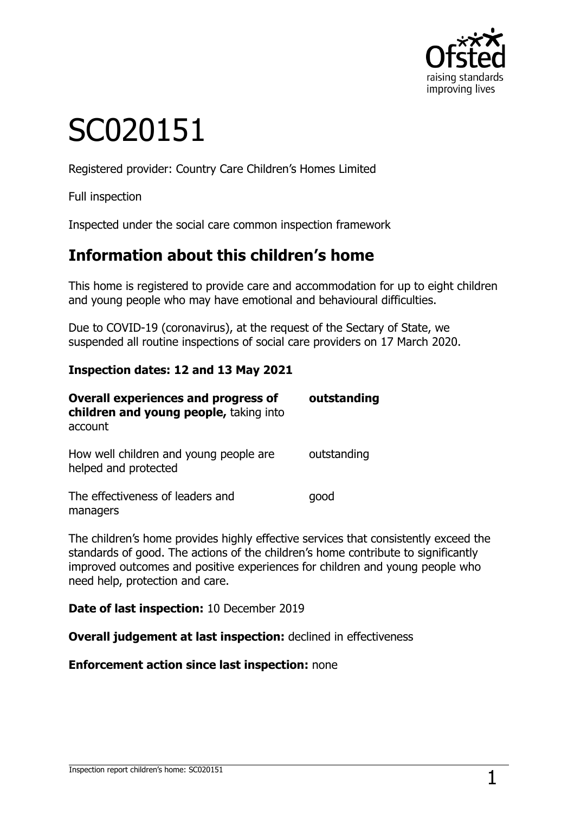

# SC020151

Registered provider: Country Care Children's Homes Limited

Full inspection

Inspected under the social care common inspection framework

## **Information about this children's home**

This home is registered to provide care and accommodation for up to eight children and young people who may have emotional and behavioural difficulties.

Due to COVID-19 (coronavirus), at the request of the Sectary of State, we suspended all routine inspections of social care providers on 17 March 2020.

#### **Inspection dates: 12 and 13 May 2021**

| <b>Overall experiences and progress of</b><br>children and young people, taking into<br>account | outstanding |
|-------------------------------------------------------------------------------------------------|-------------|
| How well children and young people are<br>helped and protected                                  | outstanding |
| The effectiveness of leaders and<br>managers                                                    | qood        |

The children's home provides highly effective services that consistently exceed the standards of good. The actions of the children's home contribute to significantly improved outcomes and positive experiences for children and young people who need help, protection and care.

**Date of last inspection:** 10 December 2019

**Overall judgement at last inspection:** declined in effectiveness

**Enforcement action since last inspection:** none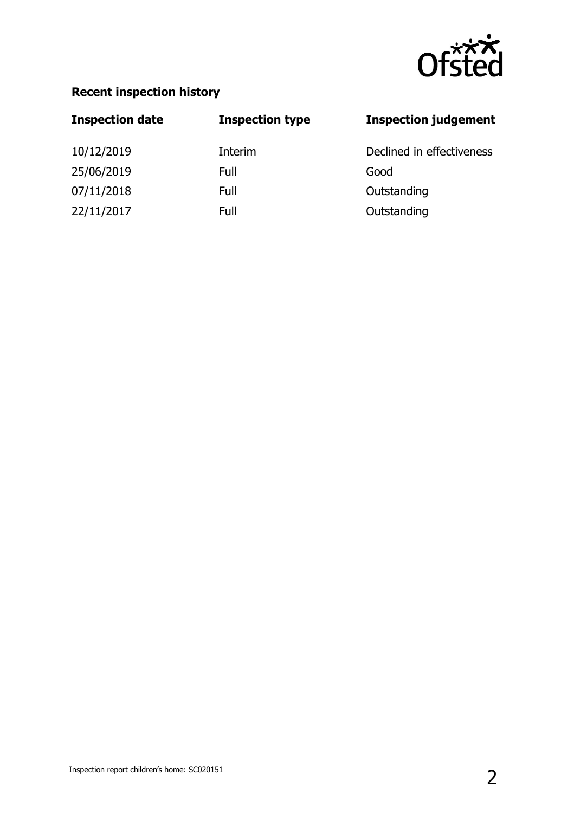

## **Recent inspection history**

| <b>Inspection date</b> | <b>Inspection type</b> | <b>Inspection judgement</b> |
|------------------------|------------------------|-----------------------------|
| 10/12/2019             | Interim                | Declined in effectiveness   |
| 25/06/2019             | Full                   | Good                        |
| 07/11/2018             | Full                   | Outstanding                 |
| 22/11/2017             | Full                   | Outstanding                 |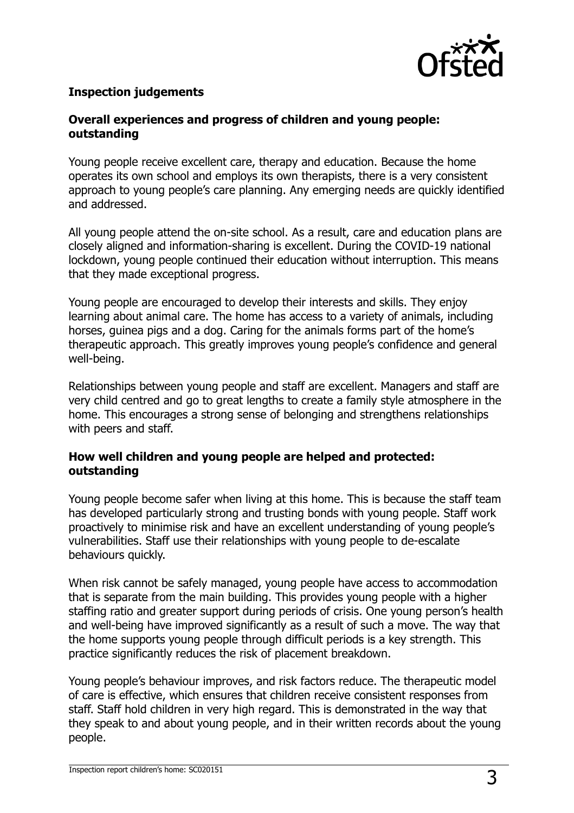

#### **Inspection judgements**

#### **Overall experiences and progress of children and young people: outstanding**

Young people receive excellent care, therapy and education. Because the home operates its own school and employs its own therapists, there is a very consistent approach to young people's care planning. Any emerging needs are quickly identified and addressed.

All young people attend the on-site school. As a result, care and education plans are closely aligned and information-sharing is excellent. During the COVID-19 national lockdown, young people continued their education without interruption. This means that they made exceptional progress.

Young people are encouraged to develop their interests and skills. They enjoy learning about animal care. The home has access to a variety of animals, including horses, guinea pigs and a dog. Caring for the animals forms part of the home's therapeutic approach. This greatly improves young people's confidence and general well-being.

Relationships between young people and staff are excellent. Managers and staff are very child centred and go to great lengths to create a family style atmosphere in the home. This encourages a strong sense of belonging and strengthens relationships with peers and staff.

#### **How well children and young people are helped and protected: outstanding**

Young people become safer when living at this home. This is because the staff team has developed particularly strong and trusting bonds with young people. Staff work proactively to minimise risk and have an excellent understanding of young people's vulnerabilities. Staff use their relationships with young people to de-escalate behaviours quickly.

When risk cannot be safely managed, young people have access to accommodation that is separate from the main building. This provides young people with a higher staffing ratio and greater support during periods of crisis. One young person's health and well-being have improved significantly as a result of such a move. The way that the home supports young people through difficult periods is a key strength. This practice significantly reduces the risk of placement breakdown.

Young people's behaviour improves, and risk factors reduce. The therapeutic model of care is effective, which ensures that children receive consistent responses from staff. Staff hold children in very high regard. This is demonstrated in the way that they speak to and about young people, and in their written records about the young people.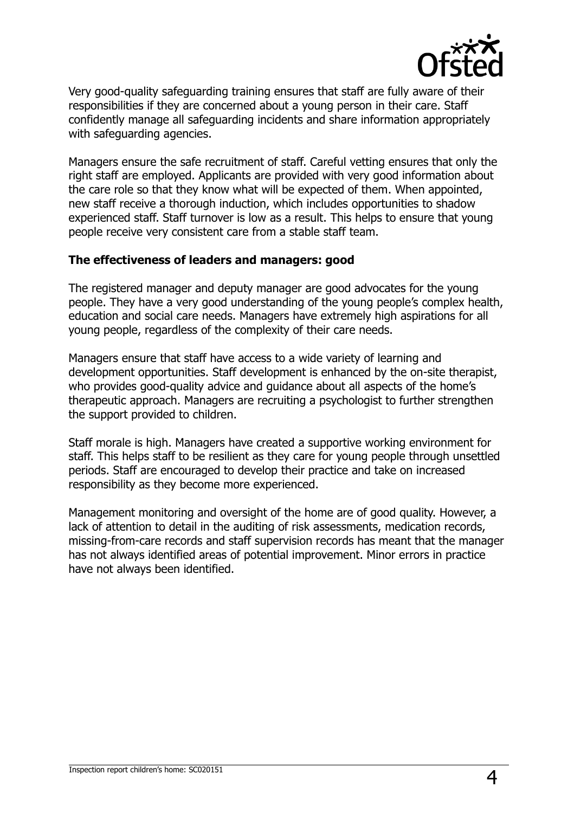

Very good-quality safeguarding training ensures that staff are fully aware of their responsibilities if they are concerned about a young person in their care. Staff confidently manage all safeguarding incidents and share information appropriately with safeguarding agencies.

Managers ensure the safe recruitment of staff. Careful vetting ensures that only the right staff are employed. Applicants are provided with very good information about the care role so that they know what will be expected of them. When appointed, new staff receive a thorough induction, which includes opportunities to shadow experienced staff. Staff turnover is low as a result. This helps to ensure that young people receive very consistent care from a stable staff team.

#### **The effectiveness of leaders and managers: good**

The registered manager and deputy manager are good advocates for the young people. They have a very good understanding of the young people's complex health, education and social care needs. Managers have extremely high aspirations for all young people, regardless of the complexity of their care needs.

Managers ensure that staff have access to a wide variety of learning and development opportunities. Staff development is enhanced by the on-site therapist, who provides good-quality advice and guidance about all aspects of the home's therapeutic approach. Managers are recruiting a psychologist to further strengthen the support provided to children.

Staff morale is high. Managers have created a supportive working environment for staff. This helps staff to be resilient as they care for young people through unsettled periods. Staff are encouraged to develop their practice and take on increased responsibility as they become more experienced.

Management monitoring and oversight of the home are of good quality. However, a lack of attention to detail in the auditing of risk assessments, medication records, missing-from-care records and staff supervision records has meant that the manager has not always identified areas of potential improvement. Minor errors in practice have not always been identified.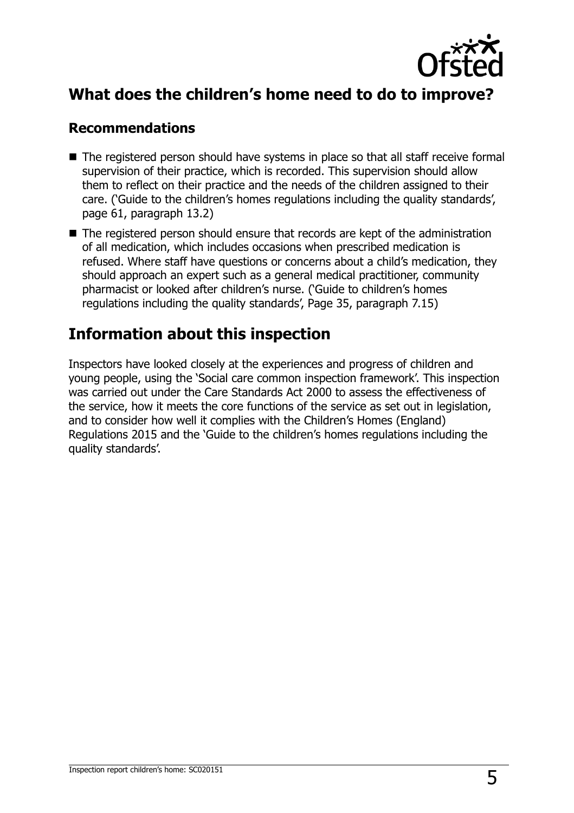

## **What does the children's home need to do to improve?**

### **Recommendations**

- The registered person should have systems in place so that all staff receive formal supervision of their practice, which is recorded. This supervision should allow them to reflect on their practice and the needs of the children assigned to their care. ('Guide to the children's homes regulations including the quality standards', page 61, paragraph 13.2)
- The registered person should ensure that records are kept of the administration of all medication, which includes occasions when prescribed medication is refused. Where staff have questions or concerns about a child's medication, they should approach an expert such as a general medical practitioner, community pharmacist or looked after children's nurse. ('Guide to children's homes regulations including the quality standards', Page 35, paragraph 7.15)

## **Information about this inspection**

Inspectors have looked closely at the experiences and progress of children and young people, using the 'Social care common inspection framework'. This inspection was carried out under the Care Standards Act 2000 to assess the effectiveness of the service, how it meets the core functions of the service as set out in legislation, and to consider how well it complies with the Children's Homes (England) Regulations 2015 and the 'Guide to the children's homes regulations including the quality standards'.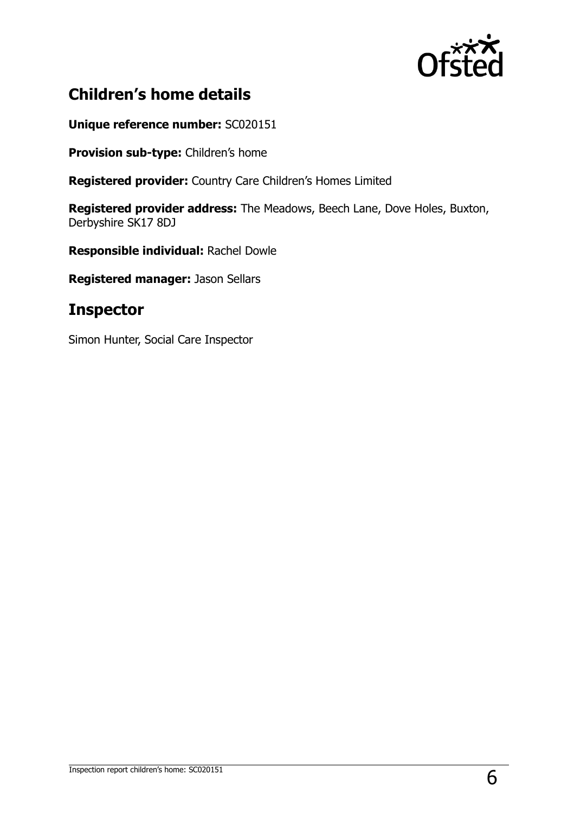

## **Children's home details**

**Unique reference number:** SC020151

**Provision sub-type:** Children's home

**Registered provider:** Country Care Children's Homes Limited

**Registered provider address:** The Meadows, Beech Lane, Dove Holes, Buxton, Derbyshire SK17 8DJ

**Responsible individual:** Rachel Dowle

**Registered manager:** Jason Sellars

## **Inspector**

Simon Hunter, Social Care Inspector